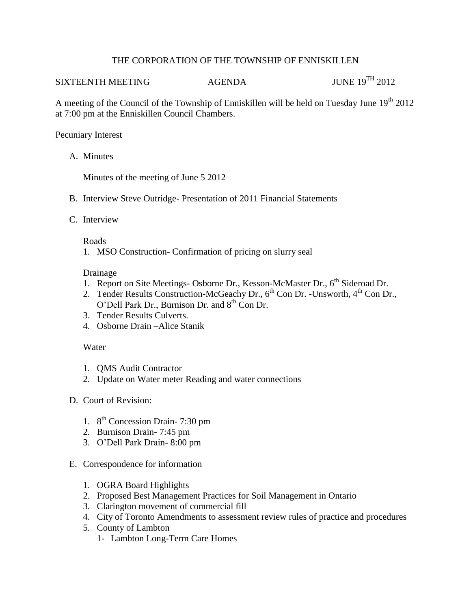# THE CORPORATION OF THE TOWNSHIP OF ENNISKILLEN

# SIXTEENTH MEETING AGENDA JUNE 19<sup>TH</sup> 2012

A meeting of the Council of the Township of Enniskillen will be held on Tuesday June  $19<sup>th</sup> 2012$ at 7:00 pm at the Enniskillen Council Chambers.

## Pecuniary Interest

A. Minutes

Minutes of the meeting of June 5 2012

- B. Interview Steve Outridge- Presentation of 2011 Financial Statements
- C. Interview

#### Roads

1. MSO Construction- Confirmation of pricing on slurry seal

# Drainage

- 1. Report on Site Meetings- Osborne Dr., Kesson-McMaster Dr.,  $6<sup>th</sup>$  Sideroad Dr.
- 2. Tender Results Construction-McGeachy Dr.,  $6^{th}$  Con Dr. -Unsworth,  $4^{th}$  Con Dr., O'Dell Park Dr., Burnison Dr. and  $8<sup>th</sup>$  Con Dr.
- 3. Tender Results Culverts.
- 4. Osborne Drain –Alice Stanik

# Water

- 1. QMS Audit Contractor
- 2. Update on Water meter Reading and water connections
- D. Court of Revision:
	- 1. 8<sup>th</sup> Concession Drain-7:30 pm
	- 2. Burnison Drain- 7:45 pm
	- 3. O'Dell Park Drain- 8:00 pm
- E. Correspondence for information
	- 1. OGRA Board Highlights
	- 2. Proposed Best Management Practices for Soil Management in Ontario
	- 3. Clarington movement of commercial fill
	- 4. City of Toronto Amendments to assessment review rules of practice and procedures
	- 5. County of Lambton
		- 1- Lambton Long-Term Care Homes